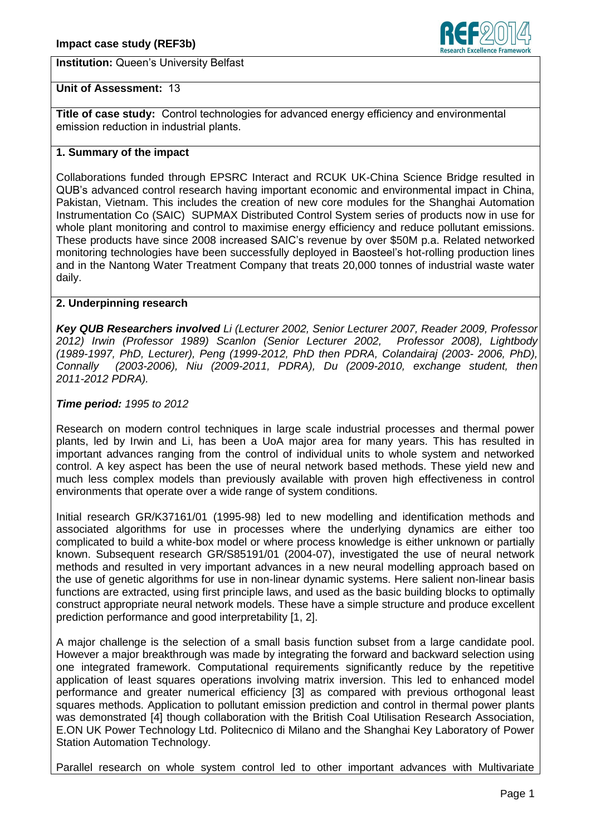**Institution:** Queen's University Belfast



# **Unit of Assessment:** 13

**Title of case study:** Control technologies for advanced energy efficiency and environmental emission reduction in industrial plants.

# **1. Summary of the impact**

Collaborations funded through EPSRC Interact and RCUK UK-China Science Bridge resulted in QUB's advanced control research having important economic and environmental impact in China, Pakistan, Vietnam. This includes the creation of new core modules for the Shanghai Automation Instrumentation Co (SAIC) SUPMAX Distributed Control System series of products now in use for whole plant monitoring and control to maximise energy efficiency and reduce pollutant emissions. These products have since 2008 increased SAIC's revenue by over \$50M p.a. Related networked monitoring technologies have been successfully deployed in Baosteel's hot-rolling production lines and in the Nantong Water Treatment Company that treats 20,000 tonnes of industrial waste water daily.

# **2. Underpinning research**

*Key QUB Researchers involved Li (Lecturer 2002, Senior Lecturer 2007, Reader 2009, Professor 2012) Irwin (Professor 1989) Scanlon (Senior Lecturer 2002, Professor 2008), Lightbody (1989-1997, PhD, Lecturer), Peng (1999-2012, PhD then PDRA, Colandairaj (2003- 2006, PhD), Connally (2003-2006), Niu (2009-2011, PDRA), Du (2009-2010, exchange student, then 2011-2012 PDRA).* 

# *Time period: 1995 to 2012*

Research on modern control techniques in large scale industrial processes and thermal power plants, led by Irwin and Li, has been a UoA major area for many years. This has resulted in important advances ranging from the control of individual units to whole system and networked control. A key aspect has been the use of neural network based methods. These yield new and much less complex models than previously available with proven high effectiveness in control environments that operate over a wide range of system conditions.

Initial research GR/K37161/01 (1995-98) led to new modelling and identification methods and associated algorithms for use in processes where the underlying dynamics are either too complicated to build a white-box model or where process knowledge is either unknown or partially known. Subsequent research GR/S85191/01 (2004-07), investigated the use of neural network methods and resulted in very important advances in a new neural modelling approach based on the use of genetic algorithms for use in non-linear dynamic systems. Here salient non-linear basis functions are extracted, using first principle laws, and used as the basic building blocks to optimally construct appropriate neural network models. These have a simple structure and produce excellent prediction performance and good interpretability [1, 2].

A major challenge is the selection of a small basis function subset from a large candidate pool. However a major breakthrough was made by integrating the forward and backward selection using one integrated framework. Computational requirements significantly reduce by the repetitive application of least squares operations involving matrix inversion. This led to enhanced model performance and greater numerical efficiency [3] as compared with previous orthogonal least squares methods. Application to pollutant emission prediction and control in thermal power plants was demonstrated [4] though collaboration with the British Coal Utilisation Research Association, E.ON UK Power Technology Ltd. Politecnico di Milano and the Shanghai Key Laboratory of Power Station Automation Technology.

Parallel research on whole system control led to other important advances with Multivariate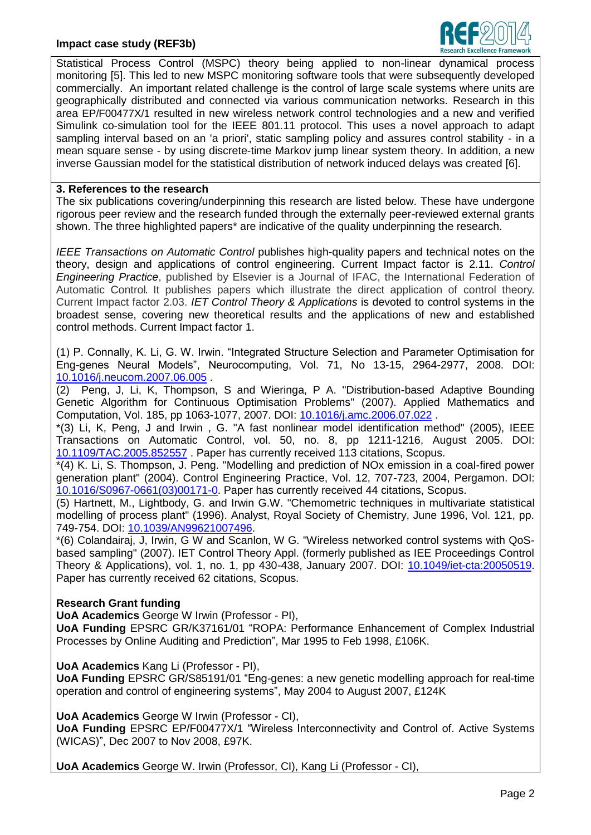

Statistical Process Control (MSPC) theory being applied to non-linear dynamical process monitoring [5]. This led to new MSPC monitoring software tools that were subsequently developed commercially. An important related challenge is the control of large scale systems where units are geographically distributed and connected via various communication networks. Research in this area EP/F00477X/1 resulted in new wireless network control technologies and a new and verified Simulink co-simulation tool for the IEEE 801.11 protocol. This uses a novel approach to adapt sampling interval based on an 'a priori', static sampling policy and assures control stability - in a mean square sense - by using discrete-time Markov jump linear system theory. In addition, a new inverse Gaussian model for the statistical distribution of network induced delays was created [6].

### **3. References to the research**

The six publications covering/underpinning this research are listed below. These have undergone rigorous peer review and the research funded through the externally peer-reviewed external grants shown. The three highlighted papers\* are indicative of the quality underpinning the research.

*IEEE Transactions on Automatic Control* publishes high-quality papers and technical notes on the theory, design and applications of control engineering. Current Impact factor is 2.11. *Control Engineering Practice*, published by Elsevier is a Journal of IFAC, the International Federation of Automatic Control*.* It publishes papers which illustrate the direct application of control theory. Current Impact factor 2.03. *IET Control Theory & Applications* is devoted to control systems in the broadest sense, covering new theoretical results and the applications of new and established control methods. Current Impact factor 1.

(1) P. Connally, K. Li, G. W. Irwin. "Integrated Structure Selection and Parameter Optimisation for Eng-genes Neural Models", Neurocomputing, Vol. 71, No 13-15, 2964-2977, 2008. DOI: [10.1016/j.neucom.2007.06.005](http://dl.acm.org/citation.cfm?id=1401329) .

(2) Peng, J, Li, K, Thompson, S and Wieringa, P A. "Distribution-based Adaptive Bounding Genetic Algorithm for Continuous Optimisation Problems" (2007). Applied Mathematics and Computation, Vol. 185, pp 1063-1077, 2007. DOI: [10.1016/j.amc.2006.07.022](http://www.sciencedirect.com/science/article/pii/S0096300306008307) .

\*(3) Li, K, Peng, J and Irwin , G. "A fast nonlinear model identification method" (2005), IEEE Transactions on Automatic Control, vol. 50, no. 8, pp 1211-1216, August 2005. DOI: [10.1109/TAC.2005.852557](http://ieeexplore.ieee.org/xpl/abstractAuthors.jsp?arnumber=1492567) . Paper has currently received 113 citations, Scopus.

\*(4) K. Li, S. Thompson, J. Peng. "Modelling and prediction of NOx emission in a coal-fired power generation plant" (2004). Control Engineering Practice, Vol. 12, 707-723, 2004, Pergamon. DOI: [10.1016/S0967-0661\(03\)00171-0.](http://www.researchgate.net/publication/222882119_Modelling_and_prediction_of_NOx_emission_in_a_coal-fired_power_generation_plant) Paper has currently received 44 citations, Scopus.

(5) Hartnett, M., Lightbody, G. and Irwin G.W. "Chemometric techniques in multivariate statistical modelling of process plant" (1996). Analyst, Royal Society of Chemistry, June 1996, Vol. 121, pp. 749-754. DOI: [10.1039/AN99621007496.](http://pubs.rsc.org/en/Content/ArticleLanding/1996/AN/an9962100749#!divAbstract)

\*(6) Colandairaj, J, Irwin, G W and Scanlon, W G. "Wireless networked control systems with QoSbased sampling" (2007). IET Control Theory Appl. (formerly published as IEE Proceedings Control Theory & Applications), vol. 1, no. 1, pp 430-438, January 2007. DOI: [10.1049/iet-cta:20050519.](http://ieeexplore.ieee.org/xpls/abs_all.jsp?arnumber=4079601) Paper has currently received 62 citations, Scopus.

# **Research Grant funding**

**UoA Academics** George W Irwin (Professor - PI),

**UoA Funding** EPSRC GR/K37161/01 "ROPA: Performance Enhancement of Complex Industrial Processes by Online Auditing and Prediction", Mar 1995 to Feb 1998, £106K.

**UoA Academics** Kang Li (Professor - PI),

**UoA Funding** EPSRC GR/S85191/01 "Eng-genes: a new genetic modelling approach for real-time operation and control of engineering systems", May 2004 to August 2007, £124K

**UoA Academics** George W Irwin (Professor - CI),

**UoA Funding** EPSRC EP/F00477X/1 "Wireless Interconnectivity and Control of. Active Systems (WICAS)", Dec 2007 to Nov 2008, £97K.

**UoA Academics** George W. Irwin (Professor, CI), Kang Li (Professor - CI),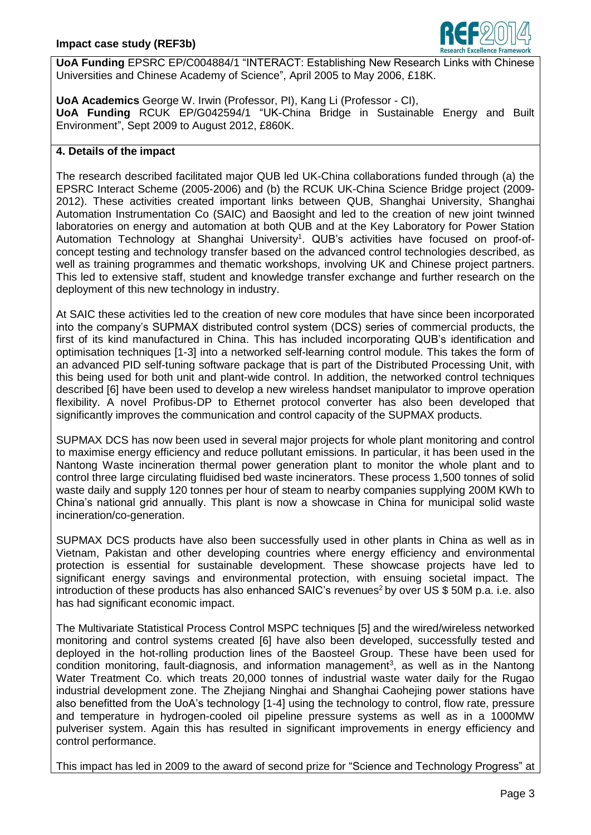

**UoA Funding** EPSRC EP/C004884/1 "INTERACT: Establishing New Research Links with Chinese Universities and Chinese Academy of Science", April 2005 to May 2006, £18K.

**UoA Academics** George W. Irwin (Professor, PI), Kang Li (Professor - CI), **UoA Funding** RCUK EP/G042594/1 "UK-China Bridge in Sustainable Energy and Built Environment", Sept 2009 to August 2012, £860K.

### **4. Details of the impact**

The research described facilitated major QUB led UK-China collaborations funded through (a) the EPSRC Interact Scheme (2005-2006) and (b) the RCUK UK-China Science Bridge project (2009- 2012). These activities created important links between QUB, Shanghai University, Shanghai Automation Instrumentation Co (SAIC) and Baosight and led to the creation of new joint twinned laboratories on energy and automation at both QUB and at the Key Laboratory for Power Station Automation Technology at Shanghai University<sup>1</sup>. QUB's activities have focused on proof-ofconcept testing and technology transfer based on the advanced control technologies described, as well as training programmes and thematic workshops, involving UK and Chinese project partners. This led to extensive staff, student and knowledge transfer exchange and further research on the deployment of this new technology in industry.

At SAIC these activities led to the creation of new core modules that have since been incorporated into the company's SUPMAX distributed control system (DCS) series of commercial products, the first of its kind manufactured in China. This has included incorporating QUB's identification and optimisation techniques [1-3] into a networked self-learning control module. This takes the form of an advanced PID self-tuning software package that is part of the Distributed Processing Unit, with this being used for both unit and plant-wide control. In addition, the networked control techniques described [6] have been used to develop a new wireless handset manipulator to improve operation flexibility. A novel Profibus-DP to Ethernet protocol converter has also been developed that significantly improves the communication and control capacity of the SUPMAX products.

SUPMAX DCS has now been used in several major projects for whole plant monitoring and control to maximise energy efficiency and reduce pollutant emissions. In particular, it has been used in the Nantong Waste incineration thermal power generation plant to monitor the whole plant and to control three large circulating fluidised bed waste incinerators. These process 1,500 tonnes of solid waste daily and supply 120 tonnes per hour of steam to nearby companies supplying 200M KWh to China's national grid annually. This plant is now a showcase in China for municipal solid waste incineration/co-generation.

SUPMAX DCS products have also been successfully used in other plants in China as well as in Vietnam, Pakistan and other developing countries where energy efficiency and environmental protection is essential for sustainable development. These showcase projects have led to significant energy savings and environmental protection, with ensuing societal impact. The introduction of these products has also enhanced SAIC's revenues<sup>2</sup> by over US \$50M p.a. i.e. also has had significant economic impact.

The Multivariate Statistical Process Control MSPC techniques [5] and the wired/wireless networked monitoring and control systems created [6] have also been developed, successfully tested and deployed in the hot-rolling production lines of the Baosteel Group. These have been used for condition monitoring, fault-diagnosis, and information management<sup>3</sup>, as well as in the Nantong Water Treatment Co. which treats 20,000 tonnes of industrial waste water daily for the Rugao industrial development zone. The Zhejiang Ninghai and Shanghai Caohejing power stations have also benefitted from the UoA's technology [1-4] using the technology to control, flow rate, pressure and temperature in hydrogen-cooled oil pipeline pressure systems as well as in a 1000MW pulveriser system. Again this has resulted in significant improvements in energy efficiency and control performance.

This impact has led in 2009 to the award of second prize for "Science and Technology Progress" at